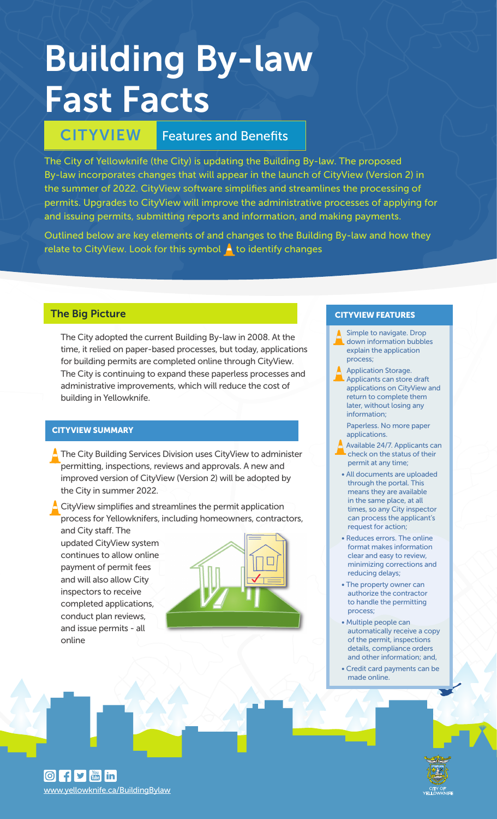# Building By-law Fast Facts

# CITYVIEW Features and Benefits

The City of Yellowknife (the City) is updating the Building By-law. The proposed By-law incorporates changes that will appear in the launch of CityView (Version 2) in the summer of 2022. CityView software simplifies and streamlines the processing of permits. Upgrades to CityView will improve the administrative processes of applying for and issuing permits, submitting reports and information, and making payments.

Outlined below are key elements of and changes to the Building By-law and how they relate to CityView. Look for this symbol  $\blacktriangle$  to identify changes

### The Big Picture

The City adopted the current Building By-law in 2008. At the time, it relied on paper-based processes, but today, applications for building permits are completed online through CityView. The City is continuing to expand these paperless processes and administrative improvements, which will reduce the cost of building in Yellowknife.

#### CITYVIEW SUMMARY

- The City Building Services Division uses CityView to administer permitting, inspections, reviews and approvals. A new and improved version of CityView (Version 2) will be adopted by the City in summer 2022.
- CityView simplifies and streamlines the permit application process for Yellowknifers, including homeowners, contractors, and City staff. The

updated CityView system continues to allow online payment of permit fees and will also allow City inspectors to receive completed applications, conduct plan reviews, and issue permits - all online

#### CITYVIEW FEATURES

- Simple to navigate. Drop down information bubbles explain the application process;
- Application Storage. Applicants can store draft applications on CityView and return to complete them later, without losing any information;
	- Paperless. No more paper applications.
- Available 24/7. Applicants can check on the status of their permit at any time;
- All documents are uploaded through the portal. This means they are available in the same place, at all times, so any City inspector can process the applicant's request for action;
- Reduces errors. The online format makes information clear and easy to review, minimizing corrections and reducing delays;
- The property owner can authorize the contractor to handle the permitting process;
- Multiple people can automatically receive a copy of the permit, inspections details, compliance orders and other information; and,
- Credit card payments can be made online.

 $\boxed{0}$  f  $\boxed{9}$   $\boxed{m}$  in www.yellowknife.ca/BuildingBylaw